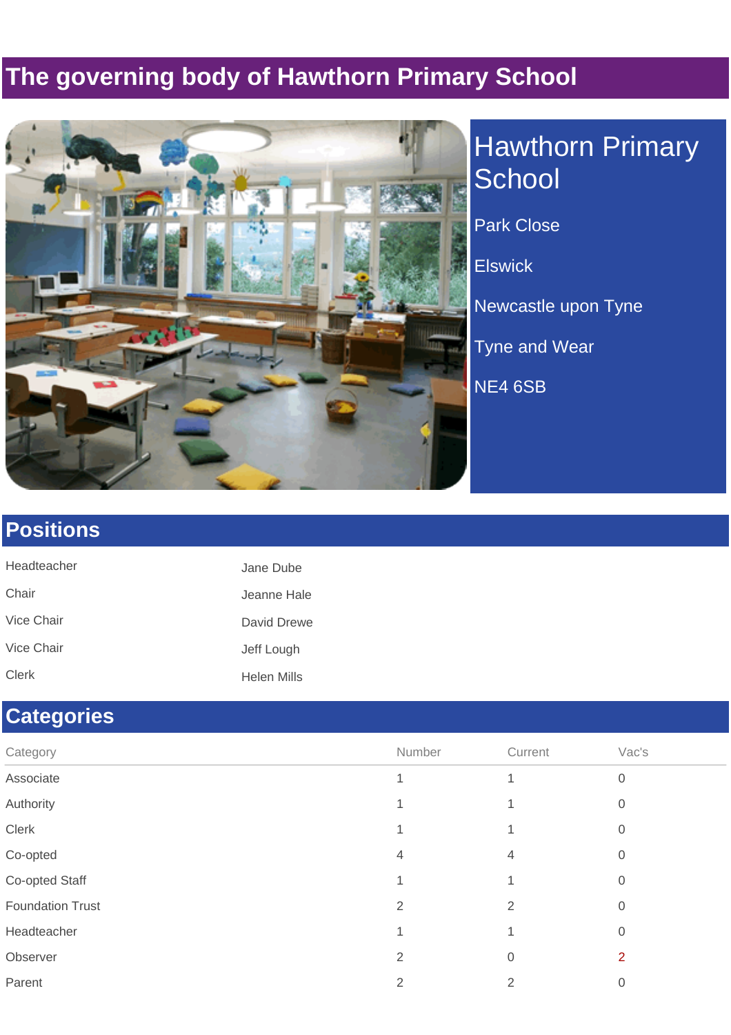### **The governing body of Hawthorn Primary School**



# Hawthorn Primary **School** Park Close **Elswick** Newcastle upon Tyne Tyne and Wear NE4 6SB

#### **Positions**

| Headteacher  | Jane Dube   |
|--------------|-------------|
| Chair        | Jeanne Hale |
| Vice Chair   | David Drewe |
| Vice Chair   | Jeff Lough  |
| <b>Clerk</b> | Helen Mills |

#### **Categories**

| Category                | Number         | Current | Vac's            |
|-------------------------|----------------|---------|------------------|
| Associate               |                |         | $\boldsymbol{0}$ |
| Authority               |                |         | 0                |
| Clerk                   |                |         | 0                |
| Co-opted                | 4              | 4       | $\overline{0}$   |
| Co-opted Staff          |                |         | 0                |
| <b>Foundation Trust</b> | $\overline{2}$ | 2       | 0                |
| Headteacher             |                |         | 0                |
| Observer                | 2              | 0       | 2                |
| Parent                  | 2              | 2       | 0                |